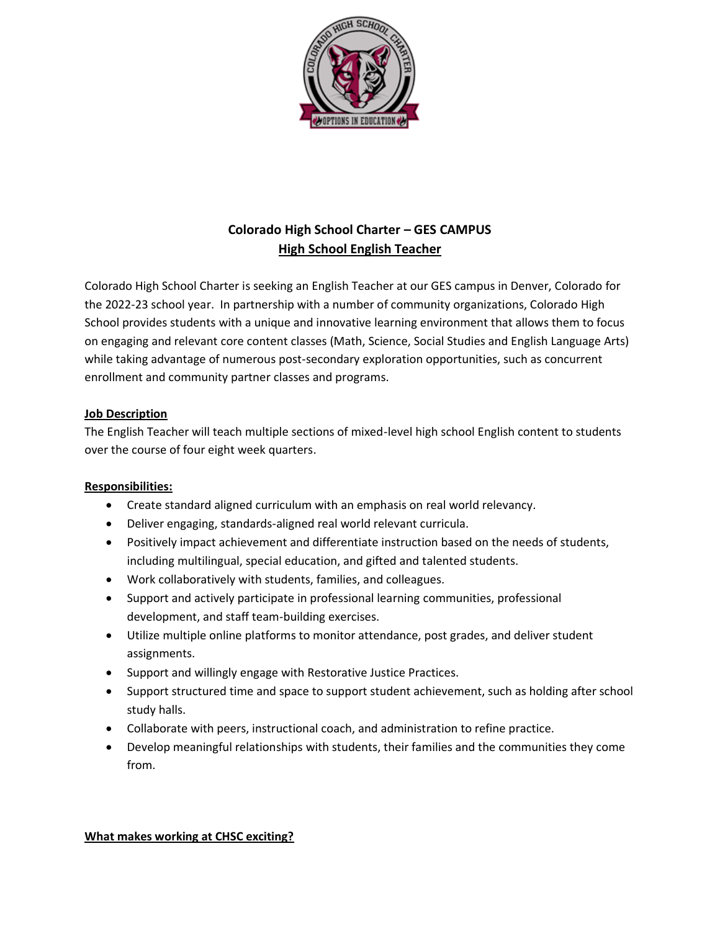

# **Colorado High School Charter – GES CAMPUS High School English Teacher**

Colorado High School Charter is seeking an English Teacher at our GES campus in Denver, Colorado for the 2022-23 school year. In partnership with a number of community organizations, Colorado High School provides students with a unique and innovative learning environment that allows them to focus on engaging and relevant core content classes (Math, Science, Social Studies and English Language Arts) while taking advantage of numerous post-secondary exploration opportunities, such as concurrent enrollment and community partner classes and programs.

# **Job Description**

The English Teacher will teach multiple sections of mixed-level high school English content to students over the course of four eight week quarters.

# **Responsibilities:**

- Create standard aligned curriculum with an emphasis on real world relevancy.
- Deliver engaging, standards-aligned real world relevant curricula.
- Positively impact achievement and differentiate instruction based on the needs of students, including multilingual, special education, and gifted and talented students.
- Work collaboratively with students, families, and colleagues.
- Support and actively participate in professional learning communities, professional development, and staff team-building exercises.
- Utilize multiple online platforms to monitor attendance, post grades, and deliver student assignments.
- Support and willingly engage with Restorative Justice Practices.
- Support structured time and space to support student achievement, such as holding after school study halls.
- Collaborate with peers, instructional coach, and administration to refine practice.
- Develop meaningful relationships with students, their families and the communities they come from.

#### **What makes working at CHSC exciting?**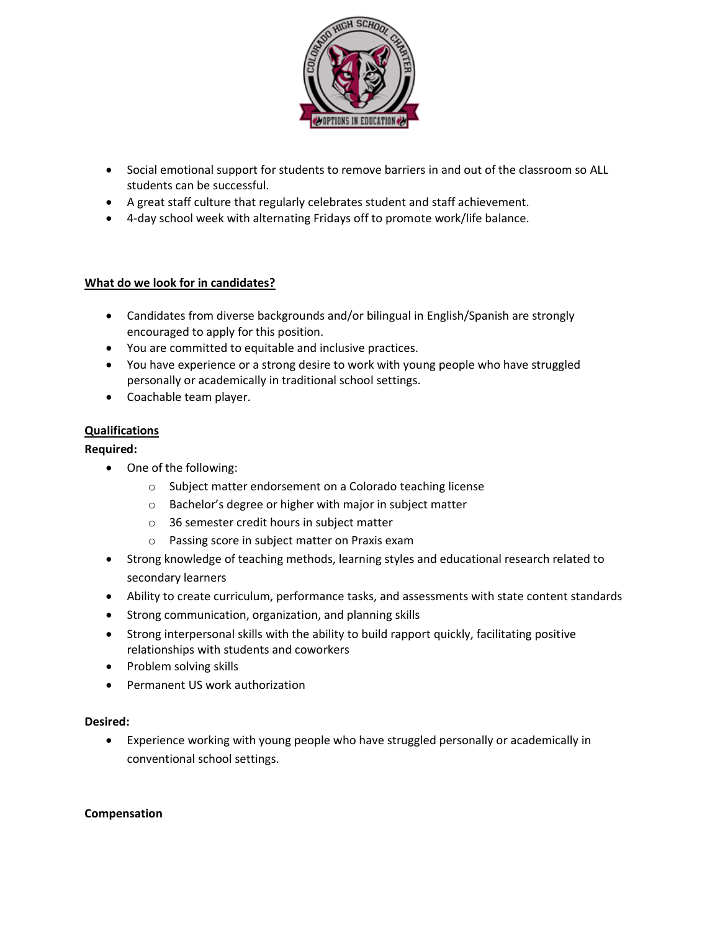

- Social emotional support for students to remove barriers in and out of the classroom so ALL students can be successful.
- A great staff culture that regularly celebrates student and staff achievement.
- 4-day school week with alternating Fridays off to promote work/life balance.

## **What do we look for in candidates?**

- Candidates from diverse backgrounds and/or bilingual in English/Spanish are strongly encouraged to apply for this position.
- You are committed to equitable and inclusive practices.
- You have experience or a strong desire to work with young people who have struggled personally or academically in traditional school settings.
- Coachable team player.

## **Qualifications**

## **Required:**

- One of the following:
	- o Subject matter endorsement on a Colorado teaching license
	- o Bachelor's degree or higher with major in subject matter
	- o 36 semester credit hours in subject matter
	- o Passing score in subject matter on Praxis exam
- Strong knowledge of teaching methods, learning styles and educational research related to secondary learners
- Ability to create curriculum, performance tasks, and assessments with state content standards
- Strong communication, organization, and planning skills
- Strong interpersonal skills with the ability to build rapport quickly, facilitating positive relationships with students and coworkers
- Problem solving skills
- Permanent US work authorization

#### **Desired:**

• Experience working with young people who have struggled personally or academically in conventional school settings.

#### **Compensation**